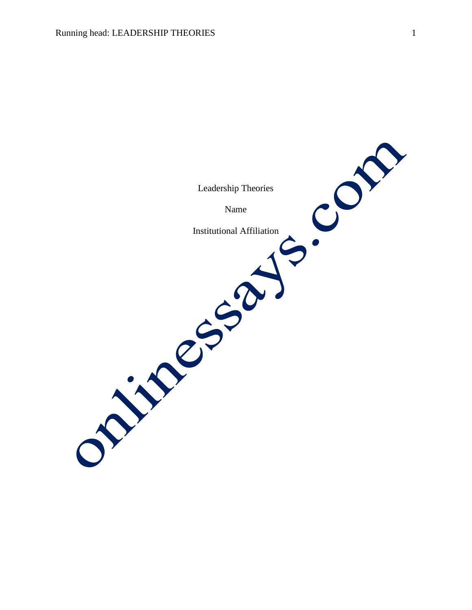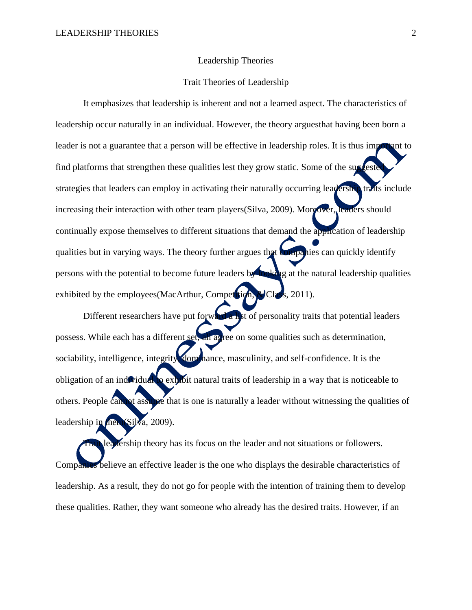#### Leadership Theories

### Trait Theories of Leadership

It emphasizes that leadership is inherent and not a learned aspect. The characteristics of leadership occur naturally in an individual. However, the theory arguesthat having been born a leader is not a guarantee that a person will be effective in leadership roles. It is thus important to find platforms that strengthen these qualities lest they grow static. Some of the suggested strategies that leaders can employ in activating their naturally occurring leadership traits include increasing their interaction with other team players (Silva, 2009). Moreover, leaders should continually expose themselves to different situations that demand the application of leadership qualities but in varying ways. The theory further argues that companies can quickly identify persons with the potential to become future leaders by looking at the natural leadership qualities exhibited by the employees (MacArthur, Competition, & Class, 2011).

Different researchers have put for  $\mathbf{w}$  and a list of personality traits that potential leaders possess. While each has a different set, all agree on some qualities such as determination, sociability, intelligence, integrity dominance, masculinity, and self-confidence. It is the obligation of an individual to exhibit natural traits of leadership in a way that is noticeable to others. People cannot assume that is one is naturally a leader without witnessing the qualities of leadership in them (Silva, 2009).

leadership theory has its focus on the leader and not situations or followers. Companies believe an effective leader is the one who displays the desirable characteristics of leadership. As a result, they do not go for people with the intention of training them to develop these qualities. Rather, they want someone who already has the desired traits. However, if an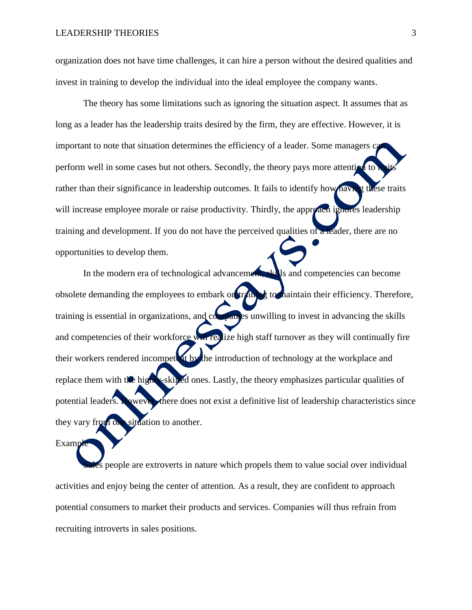organization does not have time challenges, it can hire a person without the desired qualities and invest in training to develop the individual into the ideal employee the company wants.

The theory has some limitations such as ignoring the situation aspect. It assumes that as long as a leader has the leadership traits desired by the firm, they are effective. However, it is important to note that situation determines the efficiency of a leader. Some managers c perform well in some cases but not others. Secondly, the theory pays more attention to rather than their significance in leadership outcomes. It fails to identify how having these traits will increase employee morale or raise productivity. Thirdly, the approach ignores leadership training and development. If you do not have the perceived qualities of a leader, there are no opportunities to develop them.

In the modern era of technological advancement, skills and competencies can become obsolete demanding the employees to embark on training to maintain their efficiency. Therefore, training is essential in organizations, and companies unwilling to invest in advancing the skills and competencies of their workforce will realize high staff turnover as they will continually fire their workers rendered incompetent by the introduction of technology at the workplace and replace them with the highly-skilled ones. Lastly, the theory emphasizes particular qualities of potential leaders. However, there does not exist a definitive list of leadership characteristics since they vary from one situation to another.

Examp

people are extroverts in nature which propels them to value social over individual activities and enjoy being the center of attention. As a result, they are confident to approach potential consumers to market their products and services. Companies will thus refrain from recruiting introverts in sales positions.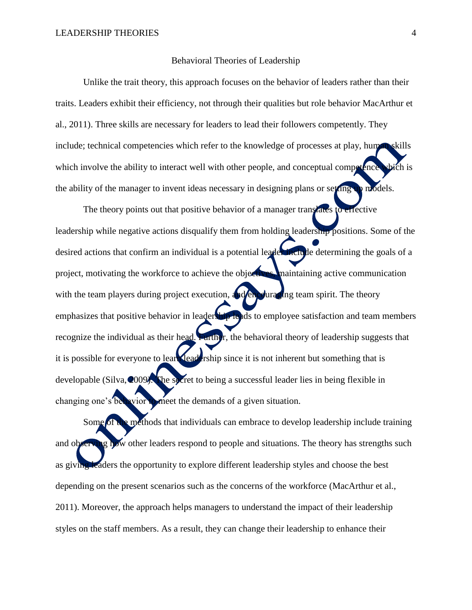#### Behavioral Theories of Leadership

Unlike the trait theory, this approach focuses on the behavior of leaders rather than their traits. Leaders exhibit their efficiency, not through their qualities but role behavior MacArthur et al., 2011). Three skills are necessary for leaders to lead their followers competently. They include; technical competencies which refer to the knowledge of processes at play, human skills which involve the ability to interact well with other people, and conceptual competence which is the ability of the manager to invent ideas necessary in designing plans or setting up models.

The theory points out that positive behavior of a manager translates to effective leadership while negative actions disqualify them from holding leadership positions. Some of the desired actions that confirm an individual is a potential leader include determining the goals of a project, motivating the workforce to achieve the objectives, maintaining active communication with the team players during project execution, and encouraging team spirit. The theory emphasizes that positive behavior in leadership leads to employee satisfaction and team members recognize the individual as their head. Further, the behavioral theory of leadership suggests that it is possible for everyone to learn leadership since it is not inherent but something that is developable (Silva, 2009). The secret to being a successful leader lies in being flexible in changing one's behavior to meet the demands of a given situation.

Some of the methods that individuals can embrace to develop leadership include training and observing how other leaders respond to people and situations. The theory has strengths such as giving leaders the opportunity to explore different leadership styles and choose the best depending on the present scenarios such as the concerns of the workforce (MacArthur et al., 2011). Moreover, the approach helps managers to understand the impact of their leadership styles on the staff members. As a result, they can change their leadership to enhance their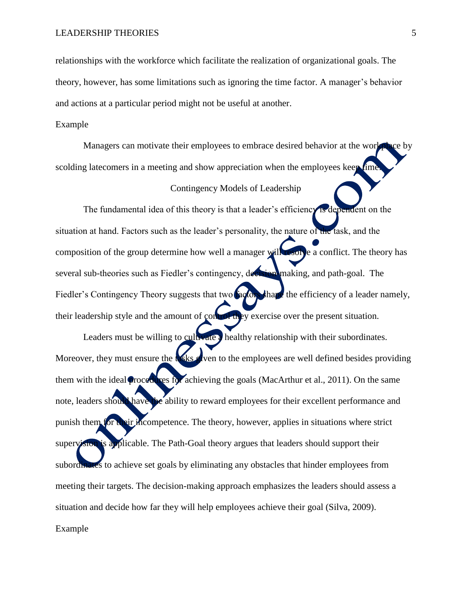relationships with the workforce which facilitate the realization of organizational goals. The theory, however, has some limitations such as ignoring the time factor. A manager's behavior and actions at a particular period might not be useful at another.

## Example

Managers can motivate their employees to embrace desired behavior at the workplace by scolding latecomers in a meeting and show appreciation when the employees keep (ime.)

## Contingency Models of Leadership

The fundamental idea of this theory is that a leader's efficiency is dependent on the situation at hand. Factors such as the leader's personality, the nature of the task, and the composition of the group determine how well a manager will resolve a conflict. The theory has several sub-theories such as Fiedler's contingency, decision-making, and path-goal. The Fiedler's Contingency Theory suggests that two **factors** that the efficiency of a leader namely, their leadership style and the amount of control they exercise over the present situation.

Leaders must be willing to cultivate a healthy relationship with their subordinates. Moreover, they must ensure the tasks given to the employees are well defined besides providing them with the ideal procedures for achieving the goals (MacArthur et al., 2011). On the same note, leaders should have the ability to reward employees for their excellent performance and punish them for their incompetence. The theory, however, applies in situations where strict supervision is applicable. The Path-Goal theory argues that leaders should support their subordinates to achieve set goals by eliminating any obstacles that hinder employees from meeting their targets. The decision-making approach emphasizes the leaders should assess a situation and decide how far they will help employees achieve their goal (Silva, 2009). Example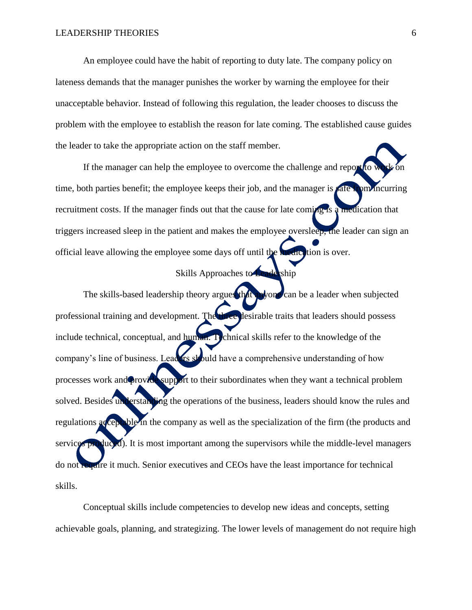An employee could have the habit of reporting to duty late. The company policy on lateness demands that the manager punishes the worker by warning the employee for their unacceptable behavior. Instead of following this regulation, the leader chooses to discuss the problem with the employee to establish the reason for late coming. The established cause guides the leader to take the appropriate action on the staff member.

If the manager can help the employee to overcome the challenge and report to work on time, both parties benefit; the employee keeps their job, and the manager is **safe from** incurring recruitment costs. If the manager finds out that the cause for late coming is a medication that triggers increased sleep in the patient and makes the employee oversleep, the leader can sign an official leave allowing the employee some days off until the medication is over.

# Skills Approaches to Leadership

The skills-based leadership theory argues that anyone can be a leader when subjected professional training and development. The three desirable traits that leaders should possess include technical, conceptual, and human. Technical skills refer to the knowledge of the company's line of business. Leaders should have a comprehensive understanding of how processes work and provide support to their subordinates when they want a technical problem solved. Besides understanding the operations of the business, leaders should know the rules and regulations acceptable in the company as well as the specialization of the firm (the products and services produced). It is most important among the supervisors while the middle-level managers do not require it much. Senior executives and CEOs have the least importance for technical skills.

Conceptual skills include competencies to develop new ideas and concepts, setting achievable goals, planning, and strategizing. The lower levels of management do not require high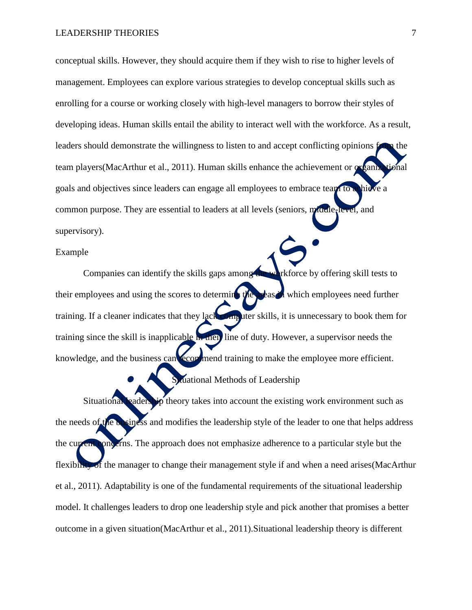conceptual skills. However, they should acquire them if they wish to rise to higher levels of management. Employees can explore various strategies to develop conceptual skills such as enrolling for a course or working closely with high-level managers to borrow their styles of developing ideas. Human skills entail the ability to interact well with the workforce. As a result, leaders should demonstrate the willingness to listen to and accept conflicting opinions from the team players(MacArthur et al., 2011). Human skills enhance the achievement or organizational goals and objectives since leaders can engage all employees to embrace team to a hieve a common purpose. They are essential to leaders at all levels (seniors, middle-level, and supervisory).

### Example

Companies can identify the skills gaps among the workforce by offering skill tests to their employees and using the scores to determine the areas in which employees need further training. If a cleaner indicates that they lack computer skills, it is unnecessary to book them for training since the skill is inapplicable in their line of duty. However, a supervisor needs the knowledge, and the business can **recommend** training to make the employee more efficient.

Situational Methods of Leadership

Situational leadership theory takes into account the existing work environment such as the needs of the business and modifies the leadership style of the leader to one that helps address the current concerns. The approach does not emphasize adherence to a particular style but the flexibility of the manager to change their management style if and when a need arises (MacArthur et al., 2011). Adaptability is one of the fundamental requirements of the situational leadership model. It challenges leaders to drop one leadership style and pick another that promises a better outcome in a given situation(MacArthur et al., 2011).Situational leadership theory is different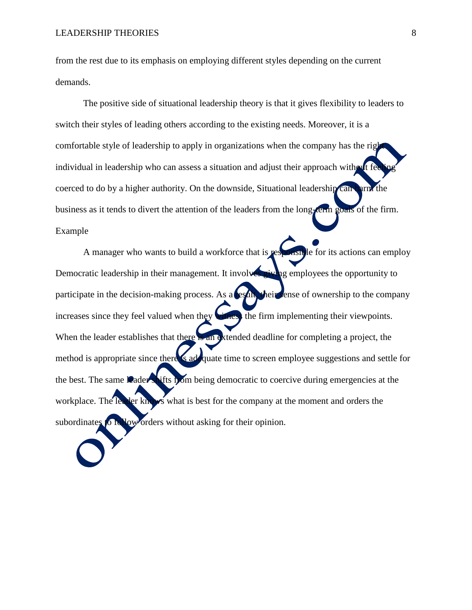from the rest due to its emphasis on employing different styles depending on the current demands.

The positive side of situational leadership theory is that it gives flexibility to leaders to switch their styles of leading others according to the existing needs. Moreover, it is a comfortable style of leadership to apply in organizations when the company has the right individual in leadership who can assess a situation and adjust their approach without fee coerced to do by a higher authority. On the downside, Situational leadership can harm the business as it tends to divert the attention of the leaders from the long-term goals of the firm. Example

A manager who wants to build a workforce that is **responsible** for its actions can employ Democratic leadership in their management. It involves giving employees the opportunity to participate in the decision-making process. As a result, their sense of ownership to the company increases since they feel valued when they witness the firm implementing their viewpoints. When the leader establishes that there is an extended deadline for completing a project, the method is appropriate since there is adoquate time to screen employee suggestions and settle for the best. The same leader shifts from being democratic to coercive during emergencies at the workplace. The leader knows what is best for the company at the moment and orders the subordinates to follow orders without asking for their opinion.